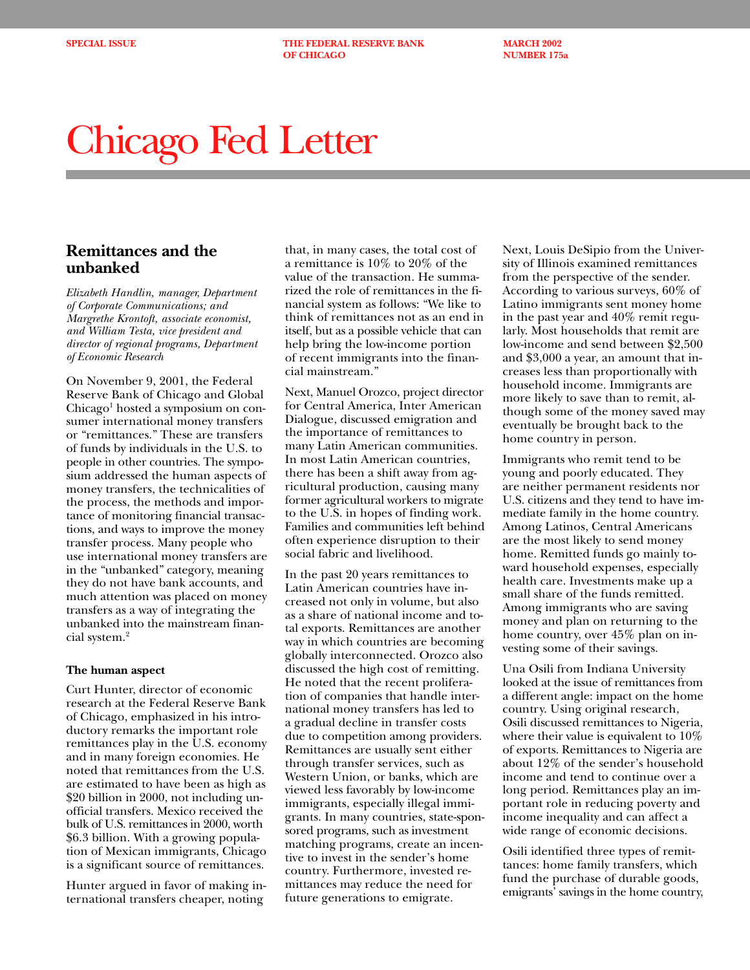**SPECIAL ISSUE THE FEDERAL RESERVE BANK MARCH 2002 OF CHICAGO NUMBER 175a** 

# Chicago Fed Letter

# **Remittances and the unbanked**

*Elizabeth Handlin, manager, Department of Corporate Communications; and Margrethe Krontoft, associate economist, and William Testa, vice president and director of regional programs, Department of Economic Research*

On November 9, 2001, the Federal Reserve Bank of Chicago and Global Chicago<sup>1</sup> hosted a symposium on consumer international money transfers or "remittances." These are transfers of funds by individuals in the U.S. to people in other countries. The symposium addressed the human aspects of money transfers, the technicalities of the process, the methods and importance of monitoring financial transactions, and ways to improve the money transfer process. Many people who use international money transfers are in the "unbanked" category, meaning they do not have bank accounts, and much attention was placed on money transfers as a way of integrating the unbanked into the mainstream financial system.2

## **The human aspect**

Curt Hunter, director of economic research at the Federal Reserve Bank of Chicago, emphasized in his introductory remarks the important role remittances play in the U.S. economy and in many foreign economies. He noted that remittances from the U.S. are estimated to have been as high as \$20 billion in 2000, not including unofficial transfers. Mexico received the bulk of U.S. remittances in 2000, worth \$6.3 billion. With a growing population of Mexican immigrants, Chicago is a significant source of remittances.

Hunter argued in favor of making international transfers cheaper, noting

that, in many cases, the total cost of a remittance is 10% to 20% of the value of the transaction. He summarized the role of remittances in the financial system as follows: "We like to think of remittances not as an end in itself, but as a possible vehicle that can help bring the low-income portion of recent immigrants into the financial mainstream."

Next, Manuel Orozco, project director for Central America, Inter American Dialogue, discussed emigration and the importance of remittances to many Latin American communities. In most Latin American countries, there has been a shift away from agricultural production, causing many former agricultural workers to migrate to the U.S. in hopes of finding work. Families and communities left behind often experience disruption to their social fabric and livelihood.

In the past 20 years remittances to Latin American countries have increased not only in volume, but also as a share of national income and total exports. Remittances are another way in which countries are becoming globally interconnected. Orozco also discussed the high cost of remitting. He noted that the recent proliferation of companies that handle international money transfers has led to a gradual decline in transfer costs due to competition among providers. Remittances are usually sent either through transfer services, such as Western Union, or banks, which are viewed less favorably by low-income immigrants, especially illegal immigrants. In many countries, state-sponsored programs, such as investment matching programs, create an incentive to invest in the sender's home country. Furthermore, invested remittances may reduce the need for future generations to emigrate.

Next, Louis DeSipio from the University of Illinois examined remittances from the perspective of the sender. According to various surveys, 60% of Latino immigrants sent money home in the past year and 40% remit regularly. Most households that remit are low-income and send between \$2,500 and \$3,000 a year, an amount that increases less than proportionally with household income. Immigrants are more likely to save than to remit, although some of the money saved may eventually be brought back to the home country in person.

Immigrants who remit tend to be young and poorly educated. They are neither permanent residents nor U.S. citizens and they tend to have immediate family in the home country. Among Latinos, Central Americans are the most likely to send money home. Remitted funds go mainly toward household expenses, especially health care. Investments make up a small share of the funds remitted. Among immigrants who are saving money and plan on returning to the home country, over 45% plan on investing some of their savings.

Una Osili from Indiana University looked at the issue of remittances from a different angle: impact on the home country. Using original research, Osili discussed remittances to Nigeria, where their value is equivalent to 10% of exports. Remittances to Nigeria are about 12% of the sender's household income and tend to continue over a long period. Remittances play an important role in reducing poverty and income inequality and can affect a wide range of economic decisions.

Osili identified three types of remittances: home family transfers, which fund the purchase of durable goods, emigrants' savings in the home country,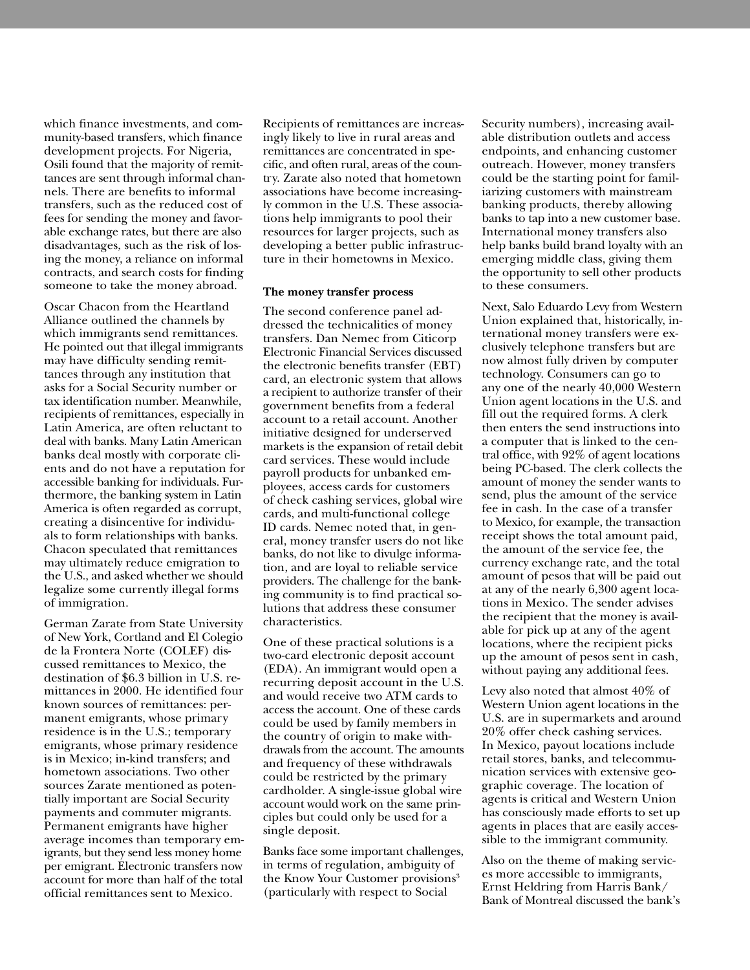which finance investments, and community-based transfers, which finance development projects. For Nigeria, Osili found that the majority of remittances are sent through informal channels. There are benefits to informal transfers, such as the reduced cost of fees for sending the money and favorable exchange rates, but there are also disadvantages, such as the risk of losing the money, a reliance on informal contracts, and search costs for finding someone to take the money abroad.

Oscar Chacon from the Heartland Alliance outlined the channels by which immigrants send remittances. He pointed out that illegal immigrants may have difficulty sending remittances through any institution that asks for a Social Security number or tax identification number. Meanwhile, recipients of remittances, especially in Latin America, are often reluctant to deal with banks. Many Latin American banks deal mostly with corporate clients and do not have a reputation for accessible banking for individuals. Furthermore, the banking system in Latin America is often regarded as corrupt, creating a disincentive for individuals to form relationships with banks. Chacon speculated that remittances may ultimately reduce emigration to the U.S., and asked whether we should legalize some currently illegal forms of immigration.

German Zarate from State University of New York, Cortland and El Colegio de la Frontera Norte (COLEF) discussed remittances to Mexico, the destination of \$6.3 billion in U.S. remittances in 2000. He identified four known sources of remittances: permanent emigrants, whose primary residence is in the U.S.; temporary emigrants, whose primary residence is in Mexico; in-kind transfers; and hometown associations. Two other sources Zarate mentioned as potentially important are Social Security payments and commuter migrants. Permanent emigrants have higher average incomes than temporary emigrants, but they send less money home per emigrant. Electronic transfers now account for more than half of the total official remittances sent to Mexico.

Recipients of remittances are increasingly likely to live in rural areas and remittances are concentrated in specific, and often rural, areas of the country. Zarate also noted that hometown associations have become increasingly common in the U.S. These associations help immigrants to pool their resources for larger projects, such as developing a better public infrastructure in their hometowns in Mexico.

#### **The money transfer process**

The second conference panel addressed the technicalities of money transfers. Dan Nemec from Citicorp Electronic Financial Services discussed the electronic benefits transfer (EBT) card, an electronic system that allows a recipient to authorize transfer of their government benefits from a federal account to a retail account. Another initiative designed for underserved markets is the expansion of retail debit card services. These would include payroll products for unbanked employees, access cards for customers of check cashing services, global wire cards, and multi-functional college ID cards. Nemec noted that, in general, money transfer users do not like banks, do not like to divulge information, and are loyal to reliable service providers. The challenge for the banking community is to find practical solutions that address these consumer characteristics.

One of these practical solutions is a two-card electronic deposit account (EDA). An immigrant would open a recurring deposit account in the U.S. and would receive two ATM cards to access the account. One of these cards could be used by family members in the country of origin to make withdrawals from the account. The amounts and frequency of these withdrawals could be restricted by the primary cardholder. A single-issue global wire account would work on the same principles but could only be used for a single deposit.

Banks face some important challenges, in terms of regulation, ambiguity of the Know Your Customer provisions<sup>3</sup> (particularly with respect to Social

Security numbers), increasing available distribution outlets and access endpoints, and enhancing customer outreach. However, money transfers could be the starting point for familiarizing customers with mainstream banking products, thereby allowing banks to tap into a new customer base. International money transfers also help banks build brand loyalty with an emerging middle class, giving them the opportunity to sell other products to these consumers.

Next, Salo Eduardo Levy from Western Union explained that, historically, international money transfers were exclusively telephone transfers but are now almost fully driven by computer technology. Consumers can go to any one of the nearly 40,000 Western Union agent locations in the U.S. and fill out the required forms. A clerk then enters the send instructions into a computer that is linked to the central office, with 92% of agent locations being PC-based. The clerk collects the amount of money the sender wants to send, plus the amount of the service fee in cash. In the case of a transfer to Mexico, for example, the transaction receipt shows the total amount paid, the amount of the service fee, the currency exchange rate, and the total amount of pesos that will be paid out at any of the nearly 6,300 agent locations in Mexico. The sender advises the recipient that the money is available for pick up at any of the agent locations, where the recipient picks up the amount of pesos sent in cash, without paying any additional fees.

Levy also noted that almost 40% of Western Union agent locations in the U.S. are in supermarkets and around 20% offer check cashing services. In Mexico, payout locations include retail stores, banks, and telecommunication services with extensive geographic coverage. The location of agents is critical and Western Union has consciously made efforts to set up agents in places that are easily accessible to the immigrant community.

Also on the theme of making services more accessible to immigrants, Ernst Heldring from Harris Bank/ Bank of Montreal discussed the bank's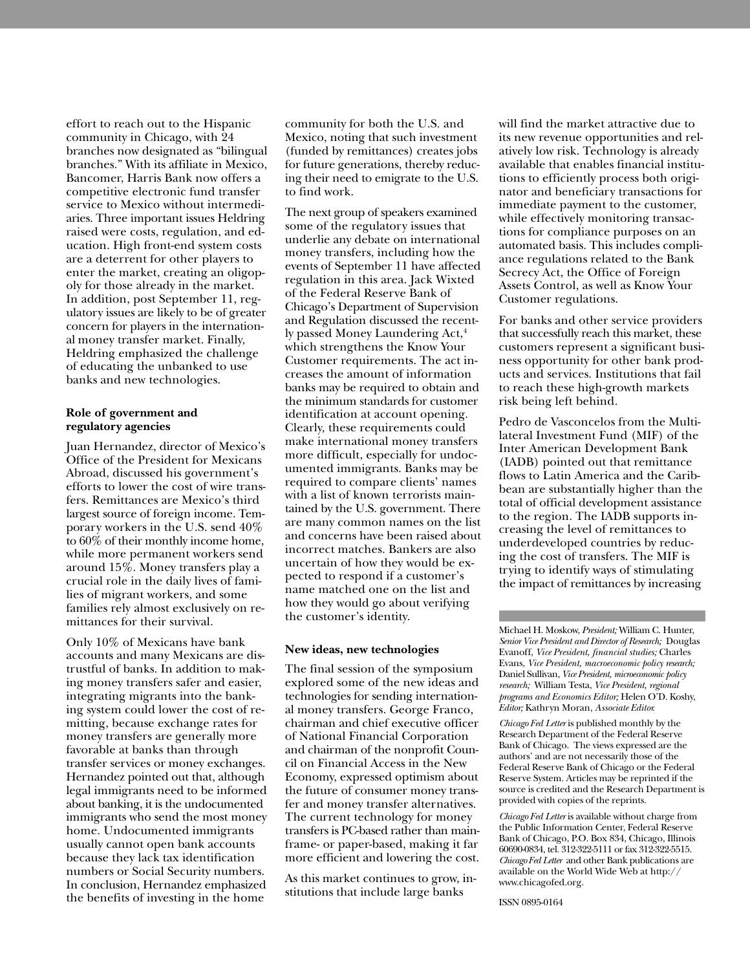effort to reach out to the Hispanic community in Chicago, with 24 branches now designated as "bilingual branches." With its affiliate in Mexico, Bancomer, Harris Bank now offers a competitive electronic fund transfer service to Mexico without intermediaries. Three important issues Heldring raised were costs, regulation, and education. High front-end system costs are a deterrent for other players to enter the market, creating an oligopoly for those already in the market. In addition, post September 11, regulatory issues are likely to be of greater concern for players in the international money transfer market. Finally, Heldring emphasized the challenge of educating the unbanked to use banks and new technologies.

### **Role of government and regulatory agencies**

Juan Hernandez, director of Mexico's Office of the President for Mexicans Abroad, discussed his government's efforts to lower the cost of wire transfers. Remittances are Mexico's third largest source of foreign income. Temporary workers in the U.S. send 40% to 60% of their monthly income home, while more permanent workers send around 15%. Money transfers play a crucial role in the daily lives of families of migrant workers, and some families rely almost exclusively on remittances for their survival.

Only 10% of Mexicans have bank accounts and many Mexicans are distrustful of banks. In addition to making money transfers safer and easier, integrating migrants into the banking system could lower the cost of remitting, because exchange rates for money transfers are generally more favorable at banks than through transfer services or money exchanges. Hernandez pointed out that, although legal immigrants need to be informed about banking, it is the undocumented immigrants who send the most money home. Undocumented immigrants usually cannot open bank accounts because they lack tax identification numbers or Social Security numbers. In conclusion, Hernandez emphasized the benefits of investing in the home

community for both the U.S. and Mexico, noting that such investment (funded by remittances) creates jobs for future generations, thereby reducing their need to emigrate to the U.S. to find work.

The next group of speakers examined some of the regulatory issues that underlie any debate on international money transfers, including how the events of September 11 have affected regulation in this area. Jack Wixted of the Federal Reserve Bank of Chicago's Department of Supervision and Regulation discussed the recently passed Money Laundering Act,<sup>4</sup> which strengthens the Know Your Customer requirements. The act increases the amount of information banks may be required to obtain and the minimum standards for customer identification at account opening. Clearly, these requirements could make international money transfers more difficult, especially for undocumented immigrants. Banks may be required to compare clients' names with a list of known terrorists maintained by the U.S. government. There are many common names on the list and concerns have been raised about incorrect matches. Bankers are also uncertain of how they would be expected to respond if a customer's name matched one on the list and how they would go about verifying the customer's identity.

#### **New ideas, new technologies**

The final session of the symposium explored some of the new ideas and technologies for sending international money transfers. George Franco, chairman and chief executive officer of National Financial Corporation and chairman of the nonprofit Council on Financial Access in the New Economy, expressed optimism about the future of consumer money transfer and money transfer alternatives. The current technology for money transfers is PC-based rather than mainframe- or paper-based, making it far more efficient and lowering the cost.

As this market continues to grow, institutions that include large banks

will find the market attractive due to its new revenue opportunities and relatively low risk. Technology is already available that enables financial institutions to efficiently process both originator and beneficiary transactions for immediate payment to the customer, while effectively monitoring transactions for compliance purposes on an automated basis. This includes compliance regulations related to the Bank Secrecy Act, the Office of Foreign Assets Control, as well as Know Your Customer regulations.

For banks and other service providers that successfully reach this market, these customers represent a significant business opportunity for other bank products and services. Institutions that fail to reach these high-growth markets risk being left behind.

Pedro de Vasconcelos from the Multilateral Investment Fund (MIF) of the Inter American Development Bank (IADB) pointed out that remittance flows to Latin America and the Caribbean are substantially higher than the total of official development assistance to the region. The IADB supports increasing the level of remittances to underdeveloped countries by reducing the cost of transfers. The MIF is trying to identify ways of stimulating the impact of remittances by increasing

Michael H. Moskow, *President;* William C. Hunter, *Senior Vice President and Director of Research;* Douglas Evanoff, *Vice President, financial studies;* Charles Evans, *Vice President, macroeconomic policy research;* Daniel Sullivan*, Vice President, microeconomic policy research;* William Testa, *Vice President, regional programs and Economics Editor;* Helen O'D. Koshy, *Editor;* Kathryn Moran, *Associate Editor.*

*Chicago Fed Letter* is published monthly by the Research Department of the Federal Reserve Bank of Chicago. The views expressed are the authors' and are not necessarily those of the Federal Reserve Bank of Chicago or the Federal Reserve System. Articles may be reprinted if the source is credited and the Research Department is provided with copies of the reprints.

*Chicago Fed Letter* is available without charge from the Public Information Center, Federal Reserve Bank of Chicago, P.O. Box 834, Chicago, Illinois 60690-0834, tel. 312-322-5111 or fax 312-322-5515. *Chicago Fed Letter* and other Bank publications are available on the World Wide Web at http:// www.chicagofed.org.

ISSN 0895-0164